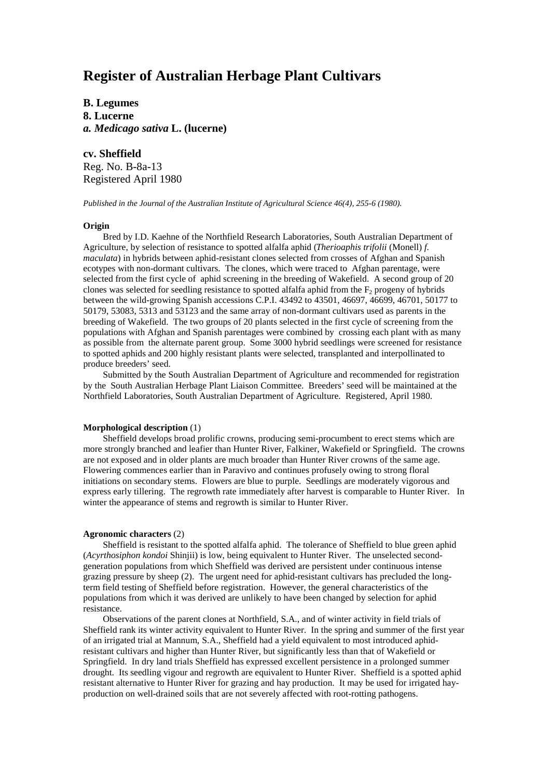# **Register of Australian Herbage Plant Cultivars**

**B. Legumes 8. Lucerne** *a. Medicago sativa* **L. (lucerne)**

**cv. Sheffield** Reg. No. B-8a-13 Registered April 1980

*Published in the Journal of the Australian Institute of Agricultural Science 46(4), 255-6 (1980).*

## **Origin**

Bred by I.D. Kaehne of the Northfield Research Laboratories, South Australian Department of Agriculture, by selection of resistance to spotted alfalfa aphid (*Therioaphis trifolii* (Monell) *f. maculata*) in hybrids between aphid-resistant clones selected from crosses of Afghan and Spanish ecotypes with non-dormant cultivars. The clones, which were traced to Afghan parentage, were selected from the first cycle of aphid screening in the breeding of Wakefield. A second group of 20 clones was selected for seedling resistance to spotted alfalfa aphid from the  $F<sub>2</sub>$  progeny of hybrids between the wild-growing Spanish accessions C.P.I. 43492 to 43501, 46697, 46699, 46701, 50177 to 50179, 53083, 5313 and 53123 and the same array of non-dormant cultivars used as parents in the breeding of Wakefield. The two groups of 20 plants selected in the first cycle of screening from the populations with Afghan and Spanish parentages were combined by crossing each plant with as many as possible from the alternate parent group. Some 3000 hybrid seedlings were screened for resistance to spotted aphids and 200 highly resistant plants were selected, transplanted and interpollinated to produce breeders' seed.

Submitted by the South Australian Department of Agriculture and recommended for registration by the South Australian Herbage Plant Liaison Committee. Breeders' seed will be maintained at the Northfield Laboratories, South Australian Department of Agriculture. Registered, April 1980.

## **Morphological description** (1)

Sheffield develops broad prolific crowns, producing semi-procumbent to erect stems which are more strongly branched and leafier than Hunter River, Falkiner, Wakefield or Springfield. The crowns are not exposed and in older plants are much broader than Hunter River crowns of the same age. Flowering commences earlier than in Paravivo and continues profusely owing to strong floral initiations on secondary stems. Flowers are blue to purple. Seedlings are moderately vigorous and express early tillering. The regrowth rate immediately after harvest is comparable to Hunter River. In winter the appearance of stems and regrowth is similar to Hunter River.

## **Agronomic characters** (2)

Sheffield is resistant to the spotted alfalfa aphid. The tolerance of Sheffield to blue green aphid (*Acyrthosiphon kondoi* Shinjii) is low, being equivalent to Hunter River. The unselected secondgeneration populations from which Sheffield was derived are persistent under continuous intense grazing pressure by sheep (2). The urgent need for aphid-resistant cultivars has precluded the longterm field testing of Sheffield before registration. However, the general characteristics of the populations from which it was derived are unlikely to have been changed by selection for aphid resistance.

Observations of the parent clones at Northfield, S.A., and of winter activity in field trials of Sheffield rank its winter activity equivalent to Hunter River. In the spring and summer of the first year of an irrigated trial at Mannum, S.A., Sheffield had a yield equivalent to most introduced aphidresistant cultivars and higher than Hunter River, but significantly less than that of Wakefield or Springfield. In dry land trials Sheffield has expressed excellent persistence in a prolonged summer drought. Its seedling vigour and regrowth are equivalent to Hunter River. Sheffield is a spotted aphid resistant alternative to Hunter River for grazing and hay production. It may be used for irrigated hayproduction on well-drained soils that are not severely affected with root-rotting pathogens.